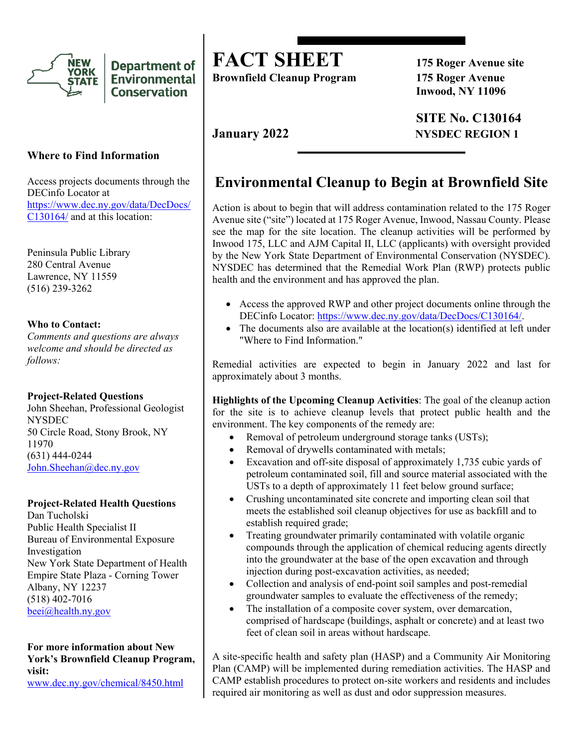

**Department of Environmental Conservation** 

### **Where to Find Information**

Access projects documents through the DECinfo Locator at https://www.dec.ny.gov/data/DecDocs/ C130164/ and at this location:

Peninsula Public Library 280 Central Avenue Lawrence, NY 11559 (516) 239-3262

#### **Who to Contact:**

*Comments and questions are always welcome and should be directed as follows:* 

### **Project-Related Questions**

John Sheehan, Professional Geologist **NYSDEC** 50 Circle Road, Stony Brook, NY 11970 (631) 444-0244 [John.Sheehan@dec.ny.gov](mailto:John.Sheehan@dec.ny.gov)

#### **Project-Related Health Questions**

Dan Tucholski Public Health Specialist II Bureau of Environmental Exposure Investigation New York State Department of Health Empire State Plaza - Corning Tower Albany, NY 12237 (518) 402-7016 [beei@health.ny.gov](mailto:beei@health.ny.gov)

**For more information about New York's Brownfield Cleanup Program, visit:**

[www.dec.ny.gov/chemical/8450.html](https://www.dec.ny.gov/chemical/8450.html)

# **FACT SHEET 175 Roger Avenue site**

**Brownfield Cleanup Program 175 Roger Avenue**

**Inwood, NY 11096**

**SITE No. C130164 January 2022 NYSDEC REGION 1**

# **Environmental Cleanup to Begin at Brownfield Site**

Action is about to begin that will address contamination related to the 175 Roger Avenue site ("site") located at 175 Roger Avenue, Inwood, Nassau County. Please see the map for the site location. The cleanup activities will be performed by Inwood 175, LLC and AJM Capital II, LLC (applicants) with oversight provided by the New York State Department of Environmental Conservation (NYSDEC). NYSDEC has determined that the Remedial Work Plan (RWP) protects public health and the environment and has approved the plan.

- Access the approved RWP and other project documents online through the DECinfo Locator: [https://www.dec.ny.gov/data/DecDocs/C130164/.](https://www.dec.ny.gov/data/DecDocs/C130164/)
- The documents also are available at the location(s) identified at left under "Where to Find Information."

Remedial activities are expected to begin in January 2022 and last for approximately about 3 months.

**Highlights of the Upcoming Cleanup Activities**: The goal of the cleanup action for the site is to achieve cleanup levels that protect public health and the environment. The key components of the remedy are:

- Removal of petroleum underground storage tanks (USTs);
- Removal of drywells contaminated with metals;
- Excavation and off-site disposal of approximately 1,735 cubic yards of petroleum contaminated soil, fill and source material associated with the USTs to a depth of approximately 11 feet below ground surface;
- Crushing uncontaminated site concrete and importing clean soil that meets the established soil cleanup objectives for use as backfill and to establish required grade;
- Treating groundwater primarily contaminated with volatile organic compounds through the application of chemical reducing agents directly into the groundwater at the base of the open excavation and through injection during post-excavation activities, as needed;
- Collection and analysis of end-point soil samples and post-remedial groundwater samples to evaluate the effectiveness of the remedy;
- The installation of a composite cover system, over demarcation, comprised of hardscape (buildings, asphalt or concrete) and at least two feet of clean soil in areas without hardscape.

A site-specific health and safety plan (HASP) and a Community Air Monitoring Plan (CAMP) will be implemented during remediation activities. The HASP and CAMP establish procedures to protect on-site workers and residents and includes required air monitoring as well as dust and odor suppression measures.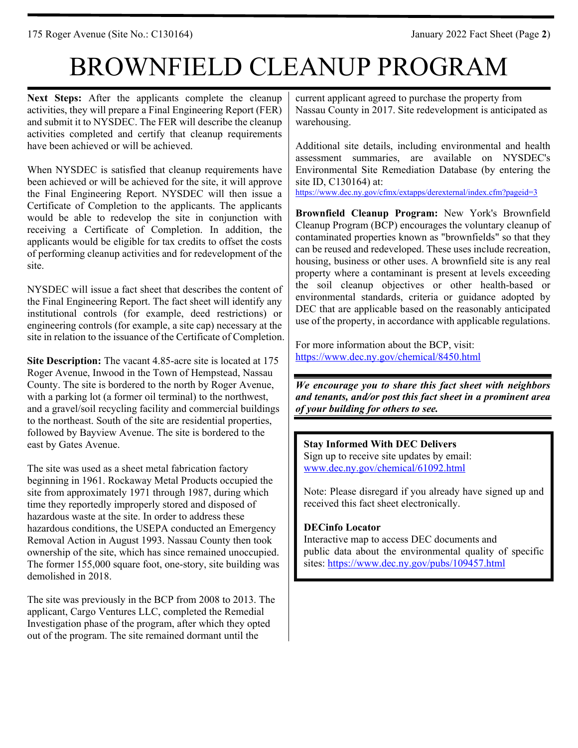175 Roger Avenue (Site No.: C130164) January 2022 Fact Sheet (Page **2**)

# BROWNFIELD CLEANUP PROGRAM

**Next Steps:** After the applicants complete the cleanup activities, they will prepare a Final Engineering Report (FER) and submit it to NYSDEC. The FER will describe the cleanup activities completed and certify that cleanup requirements have been achieved or will be achieved.

When NYSDEC is satisfied that cleanup requirements have been achieved or will be achieved for the site, it will approve the Final Engineering Report. NYSDEC will then issue a Certificate of Completion to the applicants. The applicants would be able to redevelop the site in conjunction with receiving a Certificate of Completion. In addition, the applicants would be eligible for tax credits to offset the costs of performing cleanup activities and for redevelopment of the site.

NYSDEC will issue a fact sheet that describes the content of the Final Engineering Report. The fact sheet will identify any institutional controls (for example, deed restrictions) or engineering controls (for example, a site cap) necessary at the site in relation to the issuance of the Certificate of Completion.

**Site Description:** The vacant 4.85-acre site is located at 175 Roger Avenue, Inwood in the Town of Hempstead, Nassau County. The site is bordered to the north by Roger Avenue, with a parking lot (a former oil terminal) to the northwest, and a gravel/soil recycling facility and commercial buildings to the northeast. South of the site are residential properties, followed by Bayview Avenue. The site is bordered to the east by Gates Avenue.

The site was used as a sheet metal fabrication factory beginning in 1961. Rockaway Metal Products occupied the site from approximately 1971 through 1987, during which time they reportedly improperly stored and disposed of hazardous waste at the site. In order to address these hazardous conditions, the USEPA conducted an Emergency Removal Action in August 1993. Nassau County then took ownership of the site, which has since remained unoccupied. The former 155,000 square foot, one-story, site building was demolished in 2018.

The site was previously in the BCP from 2008 to 2013. The applicant, Cargo Ventures LLC, completed the Remedial Investigation phase of the program, after which they opted out of the program. The site remained dormant until the

current applicant agreed to purchase the property from Nassau County in 2017. Site redevelopment is anticipated as warehousing.

Additional site details, including environmental and health assessment summaries, are available on NYSDEC's Environmental Site Remediation Database (by entering the site ID, C130164) at:

<https://www.dec.ny.gov/cfmx/extapps/derexternal/index.cfm?pageid=3>

**Brownfield Cleanup Program:** New York's Brownfield Cleanup Program (BCP) encourages the voluntary cleanup of contaminated properties known as "brownfields" so that they can be reused and redeveloped. These uses include recreation, housing, business or other uses. A brownfield site is any real property where a contaminant is present at levels exceeding the soil cleanup objectives or other health-based or environmental standards, criteria or guidance adopted by DEC that are applicable based on the reasonably anticipated use of the property, in accordance with applicable regulations.

For more information about the BCP, visit: <https://www.dec.ny.gov/chemical/8450.html>

*We encourage you to share this fact sheet with neighbors and tenants, and/or post this fact sheet in a prominent area of your building for others to see.*

**Stay Informed With DEC Delivers** Sign up to receive site updates by email: [www.dec.ny.gov/chemical/61092.html](https://www.dec.ny.gov/chemical/61092.html)

Note: Please disregard if you already have signed up and received this fact sheet electronically.

### **DECinfo Locator**

Interactive map to access DEC documents and public data about the environmental quality of specific sites:<https://www.dec.ny.gov/pubs/109457.html>